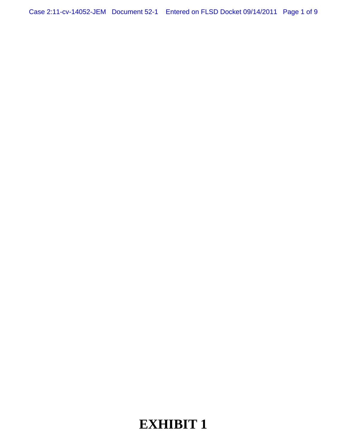# **EXHIBIT 1**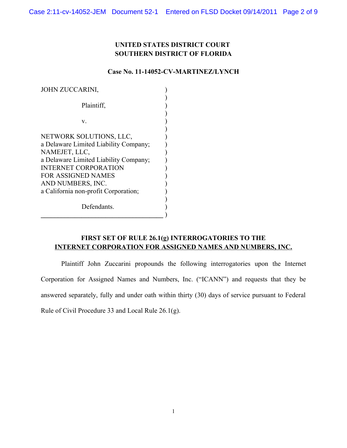# **UNITED STATES DISTRICT COURT SOUTHERN DISTRICT OF FLORIDA**

# **Case No. 11-14052-CV-MARTINEZ/LYNCH**

| <b>JOHN ZUCCARINI,</b>                |  |
|---------------------------------------|--|
|                                       |  |
| Plaintiff.                            |  |
|                                       |  |
| V.                                    |  |
|                                       |  |
| NETWORK SOLUTIONS, LLC,               |  |
| a Delaware Limited Liability Company; |  |
| NAMEJET, LLC,                         |  |
| a Delaware Limited Liability Company; |  |
| <b>INTERNET CORPORATION</b>           |  |
| <b>FOR ASSIGNED NAMES</b>             |  |
| AND NUMBERS, INC.                     |  |
| a California non-profit Corporation;  |  |
|                                       |  |
| Defendants.                           |  |
|                                       |  |

# **FIRST SET OF RULE 26.1(g) INTERROGATORIES TO THE INTERNET CORPORATION FOR ASSIGNED NAMES AND NUMBERS, INC.**

Plaintiff John Zuccarini propounds the following interrogatories upon the Internet Corporation for Assigned Names and Numbers, Inc. ("ICANN") and requests that they be answered separately, fully and under oath within thirty (30) days of service pursuant to Federal Rule of Civil Procedure 33 and Local Rule 26.1(g).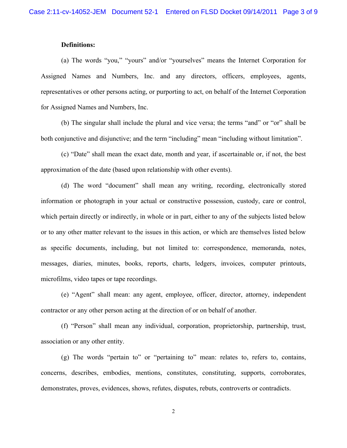# **Definitions:**

(a) The words "you," "yours" and/or "yourselves" means the Internet Corporation for Assigned Names and Numbers, Inc. and any directors, officers, employees, agents, representatives or other persons acting, or purporting to act, on behalf of the Internet Corporation for Assigned Names and Numbers, Inc.

(b) The singular shall include the plural and vice versa; the terms "and" or "or" shall be both conjunctive and disjunctive; and the term "including" mean "including without limitation".

(c) "Date" shall mean the exact date, month and year, if ascertainable or, if not, the best approximation of the date (based upon relationship with other events).

(d) The word "document" shall mean any writing, recording, electronically stored information or photograph in your actual or constructive possession, custody, care or control, which pertain directly or indirectly, in whole or in part, either to any of the subjects listed below or to any other matter relevant to the issues in this action, or which are themselves listed below as specific documents, including, but not limited to: correspondence, memoranda, notes, messages, diaries, minutes, books, reports, charts, ledgers, invoices, computer printouts, microfilms, video tapes or tape recordings.

(e) "Agent" shall mean: any agent, employee, officer, director, attorney, independent contractor or any other person acting at the direction of or on behalf of another.

(f) "Person" shall mean any individual, corporation, proprietorship, partnership, trust, association or any other entity.

(g) The words "pertain to" or "pertaining to" mean: relates to, refers to, contains, concerns, describes, embodies, mentions, constitutes, constituting, supports, corroborates, demonstrates, proves, evidences, shows, refutes, disputes, rebuts, controverts or contradicts.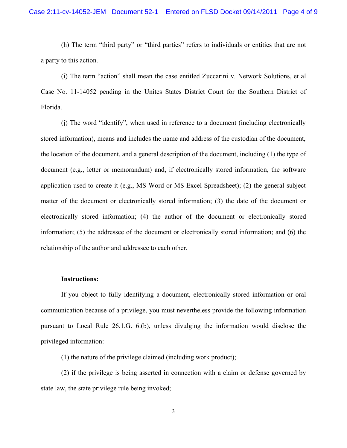(h) The term "third party" or "third parties" refers to individuals or entities that are not a party to this action.

(i) The term "action" shall mean the case entitled Zuccarini v. Network Solutions, et al Case No. 11-14052 pending in the Unites States District Court for the Southern District of Florida.

(j) The word "identify", when used in reference to a document (including electronically stored information), means and includes the name and address of the custodian of the document, the location of the document, and a general description of the document, including (1) the type of document (e.g., letter or memorandum) and, if electronically stored information, the software application used to create it (e.g., MS Word or MS Excel Spreadsheet); (2) the general subject matter of the document or electronically stored information; (3) the date of the document or electronically stored information; (4) the author of the document or electronically stored information; (5) the addressee of the document or electronically stored information; and (6) the relationship of the author and addressee to each other.

#### **Instructions:**

If you object to fully identifying a document, electronically stored information or oral communication because of a privilege, you must nevertheless provide the following information pursuant to Local Rule 26.1.G. 6.(b), unless divulging the information would disclose the privileged information:

(1) the nature of the privilege claimed (including work product);

(2) if the privilege is being asserted in connection with a claim or defense governed by state law, the state privilege rule being invoked;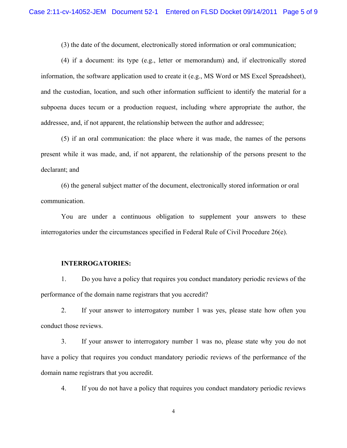(3) the date of the document, electronically stored information or oral communication;

(4) if a document: its type (e.g., letter or memorandum) and, if electronically stored information, the software application used to create it (e.g., MS Word or MS Excel Spreadsheet), and the custodian, location, and such other information sufficient to identify the material for a subpoena duces tecum or a production request, including where appropriate the author, the addressee, and, if not apparent, the relationship between the author and addressee;

(5) if an oral communication: the place where it was made, the names of the persons present while it was made, and, if not apparent, the relationship of the persons present to the declarant; and

(6) the general subject matter of the document, electronically stored information or oral communication.

You are under a continuous obligation to supplement your answers to these interrogatories under the circumstances specified in Federal Rule of Civil Procedure 26(e).

#### **INTERROGATORIES:**

1. Do you have a policy that requires you conduct mandatory periodic reviews of the performance of the domain name registrars that you accredit?

2. If your answer to interrogatory number 1 was yes, please state how often you conduct those reviews.

3. If your answer to interrogatory number 1 was no, please state why you do not have a policy that requires you conduct mandatory periodic reviews of the performance of the domain name registrars that you accredit.

4. If you do not have a policy that requires you conduct mandatory periodic reviews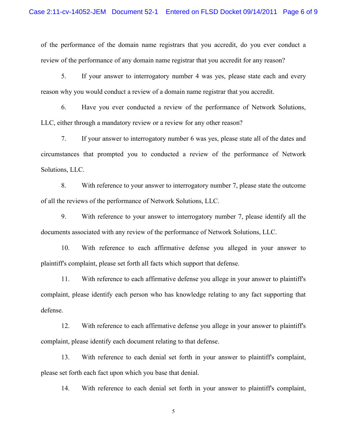of the performance of the domain name registrars that you accredit, do you ever conduct a review of the performance of any domain name registrar that you accredit for any reason?

5. If your answer to interrogatory number 4 was yes, please state each and every reason why you would conduct a review of a domain name registrar that you accredit.

6. Have you ever conducted a review of the performance of Network Solutions, LLC, either through a mandatory review or a review for any other reason?

7. If your answer to interrogatory number 6 was yes, please state all of the dates and circumstances that prompted you to conducted a review of the performance of Network Solutions, LLC.

8. With reference to your answer to interrogatory number 7, please state the outcome of all the reviews of the performance of Network Solutions, LLC.

9. With reference to your answer to interrogatory number 7, please identify all the documents associated with any review of the performance of Network Solutions, LLC.

10. With reference to each affirmative defense you alleged in your answer to plaintiff's complaint, please set forth all facts which support that defense.

11. With reference to each affirmative defense you allege in your answer to plaintiff's complaint, please identify each person who has knowledge relating to any fact supporting that defense.

12. With reference to each affirmative defense you allege in your answer to plaintiff's complaint, please identify each document relating to that defense.

13. With reference to each denial set forth in your answer to plaintiff's complaint, please set forth each fact upon which you base that denial.

14. With reference to each denial set forth in your answer to plaintiff's complaint,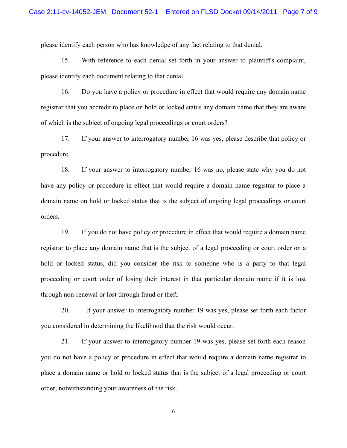please identify each person who has knowledge of any fact relating to that denial.

15. With reference to each denial set forth in your answer to plaintiff's complaint, please identify each document relating to that denial.

16. Do you have a policy or procedure in effect that would require any domain name registrar that you accredit to place on hold or locked status any domain name that they are aware of which is the subject of ongoing legal proceedings or court orders?

17. If your answer to interrogatory number 16 was yes, please describe that policy or procedure.

18. If your answer to interrogatory number 16 was no, please state why you do not have any policy or procedure in effect that would require a domain name registrar to place a domain name on hold or locked status that is the subject of ongoing legal proceedings or court orders.

19. If you do not have policy or procedure in effect that would require a domain name registrar to place any domain name that is the subject of a legal proceeding or court order on a hold or locked status, did you consider the risk to someone who is a party to that legal proceeding or court order of losing their interest in that particular domain name if it is lost through non-renewal or lost through fraud or theft.

20. If your answer to interrogatory number 19 was yes, please set forth each factor you considered in determining the likelihood that the risk would occur.

21. If your answer to interrogatory number 19 was yes, please set forth each reason you do not have a policy or procedure in effect that would require a domain name registrar to place a domain name or hold or locked status that is the subject of a legal proceeding or court order, notwithstanding your awareness of the risk.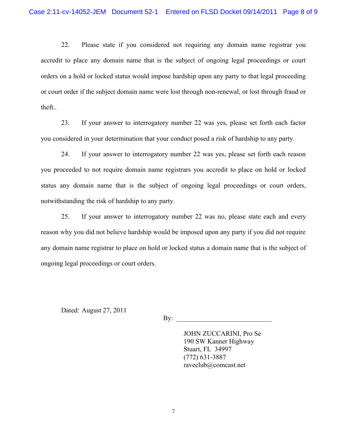22. Please state if you considered not requiring any domain name registrar you accredit to place any domain name that is the subject of ongoing legal proceedings or court orders on a hold or locked status would impose hardship upon any party to that legal proceeding or court order if the subject domain name were lost through non-renewal, or lost through fraud or theft..

23. If your answer to interrogatory number 22 was yes, please set forth each factor you considered in your determination that your conduct posed a risk of hardship to any party.

24. If your answer to interrogatory number 22 was yes, please set forth each reason you proceeded to not require domain name registrars you accredit to place on hold or locked status any domain name that is the subject of ongoing legal proceedings or court orders, notwithstanding the risk of hardship to any party.

25. If your answer to interrogatory number 22 was no, please state each and every reason why you did not believe hardship would be imposed upon any party if you did not require any domain name registrar to place on hold or locked status a domain name that is the subject of ongoing legal proceedings or court orders.

Dated: August 27, 2011

 $\mathbf{By:}$ 

JOHN ZUCCARINI, Pro Se 190 SW Kanner Highway Stuart, FL 34997 (772) 631-3887 raveclub@comcast.net